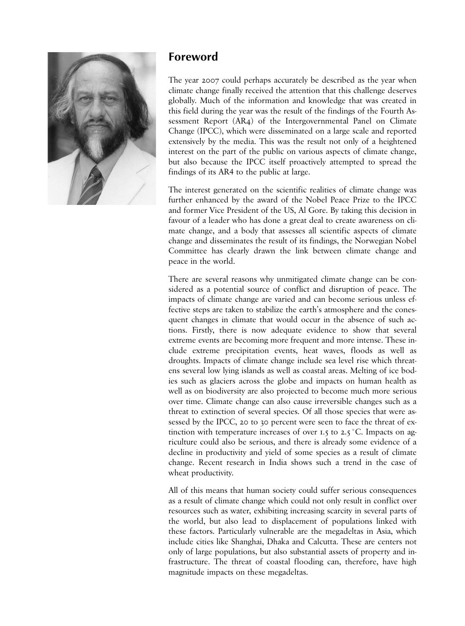

The year 2007 could perhaps accurately be described as the year when climate change finally received the attention that this challenge deserves globally. Much of the information and knowledge that was created in this field during the year was the result of the findings of the Fourth Assessment Report (AR4) of the Intergovernmental Panel on Climate Change (IPCC), which were disseminated on a large scale and reported extensively by the media. This was the result not only of a heightened interest on the part of the public on various aspects of climate change, but also because the IPCC itself proactively attempted to spread the findings of its AR4 to the public at large.

The interest generated on the scientific realities of climate change was further enhanced by the award of the Nobel Peace Prize to the IPCC and former Vice President of the US, Al Gore. By taking this decision in favour of a leader who has done a great deal to create awareness on climate change, and a body that assesses all scientific aspects of climate change and disseminates the result of its findings, the Norwegian Nobel Committee has clearly drawn the link between climate change and peace in the world.

There are several reasons why unmitigated climate change can be considered as a potential source of conflict and disruption of peace. The impacts of climate change are varied and can become serious unless effective steps are taken to stabilize the earth's atmosphere and the conesquent changes in climate that would occur in the absence of such actions. Firstly, there is now adequate evidence to show that several extreme events are becoming more frequent and more intense. These include extreme precipitation events, heat waves, floods as well as droughts. Impacts of climate change include sea level rise which threatens several low lying islands as well as coastal areas. Melting of ice bodies such as glaciers across the globe and impacts on human health as well as on biodiversity are also projected to become much more serious over time. Climate change can also cause irreversible changes such as a threat to extinction of several species. Of all those species that were assessed by the IPCC, 20 to 30 percent were seen to face the threat of extinction with temperature increases of over 1.5 to 2.5  $^{\circ}$ C. Impacts on agriculture could also be serious, and there is already some evidence of a decline in productivity and yield of some species as a result of climate change. Recent research in India shows such a trend in the case of wheat productivity.

All of this means that human society could suffer serious consequences as a result of climate change which could not only result in conflict over resources such as water, exhibiting increasing scarcity in several parts of the world, but also lead to displacement of populations linked with these factors. Particularly vulnerable are the megadeltas in Asia, which include cities like Shanghai, Dhaka and Calcutta. These are centers not only of large populations, but also substantial assets of property and infrastructure. The threat of coastal flooding can, therefore, have high magnitude impacts on these megadeltas.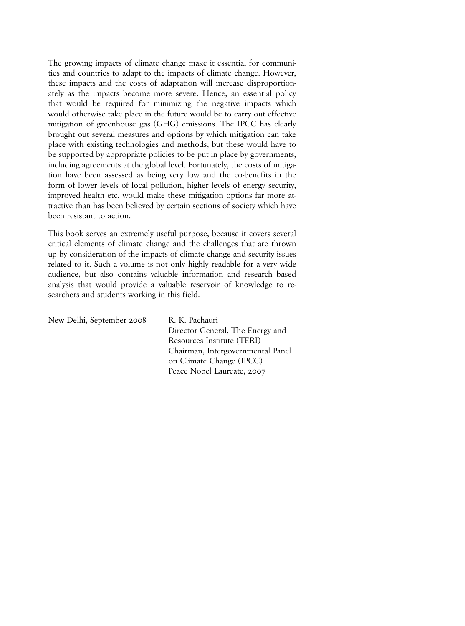The growing impacts of climate change make it essential for communities and countries to adapt to the impacts of climate change. However, these impacts and the costs of adaptation will increase disproportionately as the impacts become more severe. Hence, an essential policy that would be required for minimizing the negative impacts which would otherwise take place in the future would be to carry out effective mitigation of greenhouse gas (GHG) emissions. The IPCC has clearly brought out several measures and options by which mitigation can take place with existing technologies and methods, but these would have to be supported by appropriate policies to be put in place by governments, including agreements at the global level. Fortunately, the costs of mitigation have been assessed as being very low and the co-benefits in the form of lower levels of local pollution, higher levels of energy security, improved health etc. would make these mitigation options far more attractive than has been believed by certain sections of society which have been resistant to action.

This book serves an extremely useful purpose, because it covers several critical elements of climate change and the challenges that are thrown up by consideration of the impacts of climate change and security issues related to it. Such a volume is not only highly readable for a very wide audience, but also contains valuable information and research based analysis that would provide a valuable reservoir of knowledge to researchers and students working in this field.

| New Delhi, September 2008 | R. K. Pachauri                    |
|---------------------------|-----------------------------------|
|                           | Director General, The Energy and  |
|                           | Resources Institute (TERI)        |
|                           | Chairman, Intergovernmental Panel |
|                           | on Climate Change (IPCC)          |
|                           | Peace Nobel Laureate, 2007        |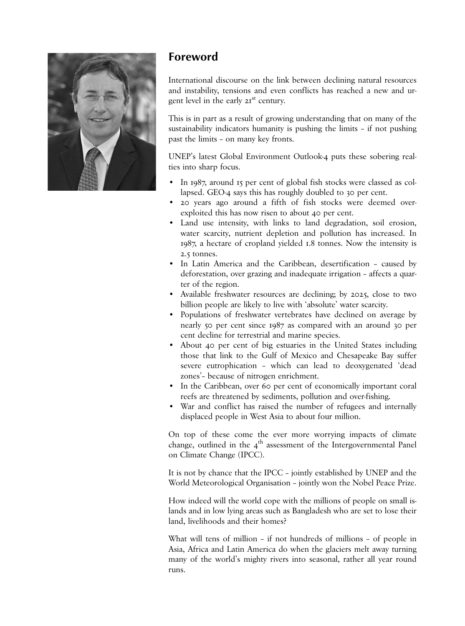

International discourse on the link between declining natural resources and instability, tensions and even conflicts has reached a new and urgent level in the early  $2I<sup>st</sup>$  century.

This is in part as a result of growing understanding that on many of the sustainability indicators humanity is pushing the limits – if not pushing past the limits – on many key fronts.

UNEP's latest Global Environment Outlook-4 puts these sobering realties into sharp focus.

- In 1987, around 15 per cent of global fish stocks were classed as collapsed. GEO-4 says this has roughly doubled to 30 per cent.
- 20 years ago around a fifth of fish stocks were deemed overexploited this has now risen to about 40 per cent.
- Land use intensity, with links to land degradation, soil erosion, water scarcity, nutrient depletion and pollution has increased. In 1987, a hectare of cropland yielded 1.8 tonnes. Now the intensity is 2.5 tonnes.
- In Latin America and the Caribbean, desertification caused by deforestation, over grazing and inadequate irrigation – affects a quarter of the region.
- Available freshwater resources are declining; by 2025, close to two billion people are likely to live with 'absolute' water scarcity.
- Populations of freshwater vertebrates have declined on average by nearly 50 per cent since 1987 as compared with an around 30 per cent decline for terrestrial and marine species.
- About 40 per cent of big estuaries in the United States including those that link to the Gulf of Mexico and Chesapeake Bay suffer severe eutrophication – which can lead to deoxygenated 'dead zones'– because of nitrogen enrichment.
- In the Caribbean, over 60 per cent of economically important coral reefs are threatened by sediments, pollution and over-fishing.
- War and conflict has raised the number of refugees and internally displaced people in West Asia to about four million.

On top of these come the ever more worrying impacts of climate change, outlined in the  $4<sup>th</sup>$  assessment of the Intergovernmental Panel on Climate Change (IPCC).

It is not by chance that the IPCC – jointly established by UNEP and the World Meteorological Organisation – jointly won the Nobel Peace Prize.

How indeed will the world cope with the millions of people on small islands and in low lying areas such as Bangladesh who are set to lose their land, livelihoods and their homes?

What will tens of million – if not hundreds of millions – of people in Asia, Africa and Latin America do when the glaciers melt away turning many of the world's mighty rivers into seasonal, rather all year round runs.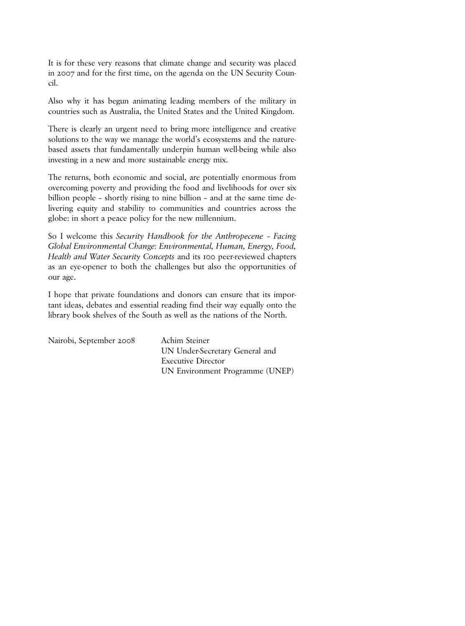It is for these very reasons that climate change and security was placed in 2007 and for the first time, on the agenda on the UN Security Council.

Also why it has begun animating leading members of the military in countries such as Australia, the United States and the United Kingdom.

There is clearly an urgent need to bring more intelligence and creative solutions to the way we manage the world's ecosystems and the naturebased assets that fundamentally underpin human well-being while also investing in a new and more sustainable energy mix.

The returns, both economic and social, are potentially enormous from overcoming poverty and providing the food and livelihoods for over six billion people – shortly rising to nine billion – and at the same time delivering equity and stability to communities and countries across the globe: in short a peace policy for the new millennium.

So I welcome this *Security Handbook for the Anthropecene* – *Facing Global Environmental Change: Environmental, Human, Energy, Food, Health and Water Security Concepts* and its 100 peer-reviewed chapters as an eye-opener to both the challenges but also the opportunities of our age.

I hope that private foundations and donors can ensure that its important ideas, debates and essential reading find their way equally onto the library book shelves of the South as well as the nations of the North.

| Nairobi, September 2008 | Achim Steiner                                               |
|-------------------------|-------------------------------------------------------------|
|                         | UN Under-Secretary General and<br><b>Executive Director</b> |
|                         | UN Environment Programme (UNEP)                             |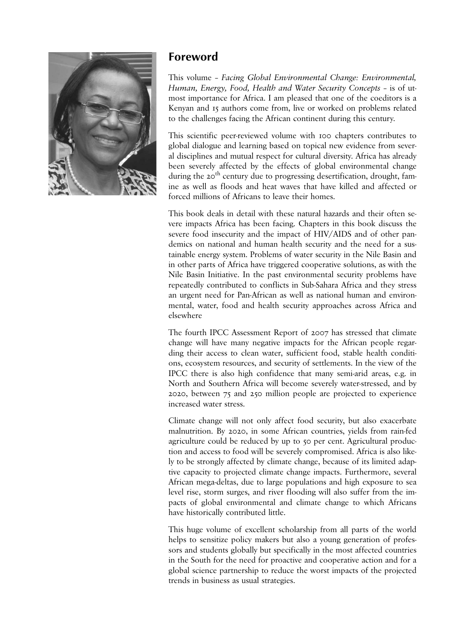

This volume – *Facing Global Environmental Change: Environmental, Human, Energy, Food, Health and Water Security Concepts* – is of utmost importance for Africa. I am pleased that one of the coeditors is a Kenyan and 15 authors come from, live or worked on problems related to the challenges facing the African continent during this century.

This scientific peer-reviewed volume with 100 chapters contributes to global dialogue and learning based on topical new evidence from several disciplines and mutual respect for cultural diversity. Africa has already been severely affected by the effects of global environmental change during the 20<sup>th</sup> century due to progressing desertification, drought, famine as well as floods and heat waves that have killed and affected or forced millions of Africans to leave their homes.

This book deals in detail with these natural hazards and their often severe impacts Africa has been facing. Chapters in this book discuss the severe food insecurity and the impact of HIV/AIDS and of other pandemics on national and human health security and the need for a sustainable energy system. Problems of water security in the Nile Basin and in other parts of Africa have triggered cooperative solutions, as with the Nile Basin Initiative. In the past environmental security problems have repeatedly contributed to conflicts in Sub-Sahara Africa and they stress an urgent need for Pan-African as well as national human and environmental, water, food and health security approaches across Africa and elsewhere

The fourth IPCC Assessment Report of 2007 has stressed that climate change will have many negative impacts for the African people regarding their access to clean water, sufficient food, stable health conditions, ecosystem resources, and security of settlements. In the view of the IPCC there is also high confidence that many semi-arid areas, e.g. in North and Southern Africa will become severely water-stressed, and by 2020, between 75 and 250 million people are projected to experience increased water stress.

Climate change will not only affect food security, but also exacerbate malnutrition. By 2020, in some African countries, yields from rain-fed agriculture could be reduced by up to 50 per cent. Agricultural production and access to food will be severely compromised. Africa is also likely to be strongly affected by climate change, because of its limited adaptive capacity to projected climate change impacts. Furthermore, several African mega-deltas, due to large populations and high exposure to sea level rise, storm surges, and river flooding will also suffer from the impacts of global environmental and climate change to which Africans have historically contributed little.

This huge volume of excellent scholarship from all parts of the world helps to sensitize policy makers but also a young generation of professors and students globally but specifically in the most affected countries in the South for the need for proactive and cooperative action and for a global science partnership to reduce the worst impacts of the projected trends in business as usual strategies.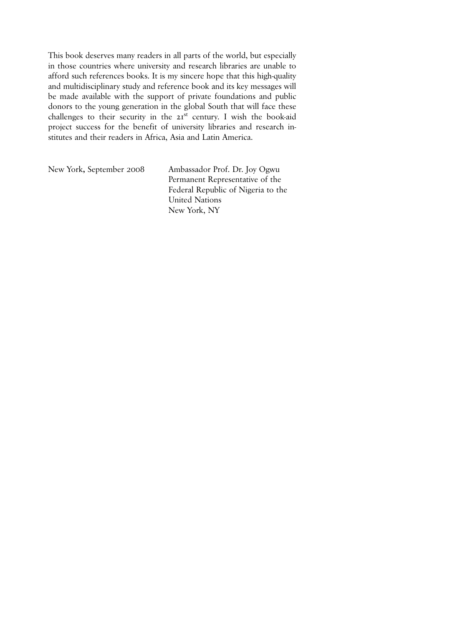This book deserves many readers in all parts of the world, but especially in those countries where university and research libraries are unable to afford such references books. It is my sincere hope that this high-quality and multidisciplinary study and reference book and its key messages will be made available with the support of private foundations and public donors to the young generation in the global South that will face these challenges to their security in the 21st century. I wish the book-aid project success for the benefit of university libraries and research institutes and their readers in Africa, Asia and Latin America.

New York**,** September 2008 Ambassador Prof. Dr. Joy Ogwu Permanent Representative of the Federal Republic of Nigeria to the United Nations New York, NY